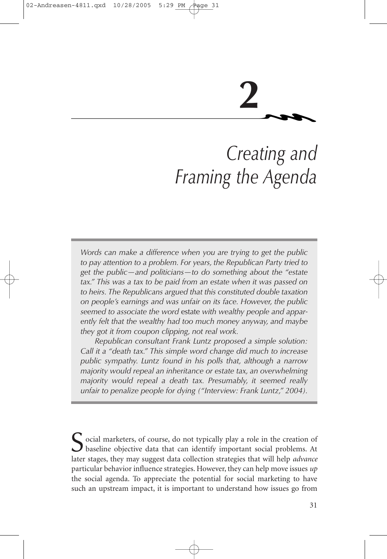# **2**

# *Creating and Framing the Agenda*

*Words can make a difference when you are trying to get the public to pay attention to a problem. For years, the Republican Party tried to get the public—and politicians—to do something about the "estate tax." This was a tax to be paid from an estate when it was passed on to heirs. The Republicans argued that this constituted double taxation on people's earnings and was unfair on its face. However, the public seemed to associate the word* estate *with wealthy people and apparently felt that the wealthy had too much money anyway, and maybe they got it from coupon clipping, not real work.*

*Republican consultant Frank Luntz proposed a simple solution: Call it a "death tax." This simple word change did much to increase public sympathy. Luntz found in his polls that, although a narrow majority would repeal an inheritance or estate tax, an overwhelming majority would repeal a death tax. Presumably, it seemed really unfair to penalize people for dying ("Interview: Frank Luntz," 2004).*

 $\Box$  ocial marketers, of course, do not typically play a role in the creation of  $\boldsymbol{J}$  baseline objective data that can identify important social problems. At later stages, they may suggest data collection strategies that will help *advance* particular behavior influence strategies. However, they can help move issues *up* the social agenda. To appreciate the potential for social marketing to have such an upstream impact, it is important to understand how issues go from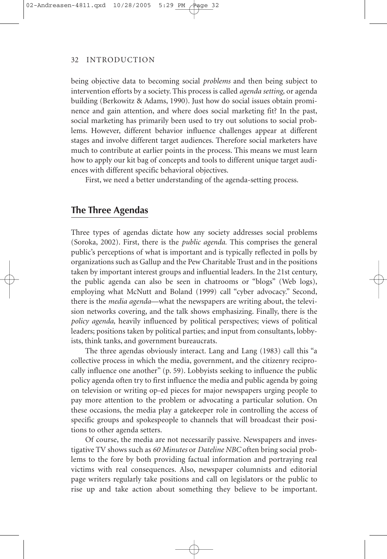being objective data to becoming social *problems* and then being subject to intervention efforts by a society. This process is called *agenda setting,* or agenda building (Berkowitz & Adams, 1990). Just how do social issues obtain prominence and gain attention, and where does social marketing fit? In the past, social marketing has primarily been used to try out solutions to social problems. However, different behavior influence challenges appear at different stages and involve different target audiences. Therefore social marketers have much to contribute at earlier points in the process. This means we must learn how to apply our kit bag of concepts and tools to different unique target audiences with different specific behavioral objectives.

First, we need a better understanding of the agenda-setting process.

# **The Three Agendas**

Three types of agendas dictate how any society addresses social problems (Soroka, 2002). First, there is the *public agenda.* This comprises the general public's perceptions of what is important and is typically reflected in polls by organizations such as Gallup and the Pew Charitable Trust and in the positions taken by important interest groups and influential leaders. In the 21st century, the public agenda can also be seen in chatrooms or "blogs" (Web logs), employing what McNutt and Boland (1999) call "cyber advocacy." Second, there is the *media agenda*—what the newspapers are writing about, the television networks covering, and the talk shows emphasizing. Finally, there is the *policy agenda,* heavily influenced by political perspectives; views of political leaders; positions taken by political parties; and input from consultants, lobbyists, think tanks, and government bureaucrats.

The three agendas obviously interact. Lang and Lang (1983) call this "a collective process in which the media, government, and the citizenry reciprocally influence one another" (p. 59). Lobbyists seeking to influence the public policy agenda often try to first influence the media and public agenda by going on television or writing op-ed pieces for major newspapers urging people to pay more attention to the problem or advocating a particular solution. On these occasions, the media play a gatekeeper role in controlling the access of specific groups and spokespeople to channels that will broadcast their positions to other agenda setters.

Of course, the media are not necessarily passive. Newspapers and investigative TV shows such as *60 Minutes* or *Dateline NBC* often bring social problems to the fore by both providing factual information and portraying real victims with real consequences. Also, newspaper columnists and editorial page writers regularly take positions and call on legislators or the public to rise up and take action about something they believe to be important.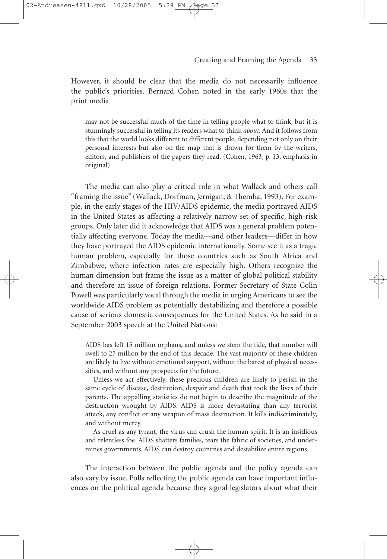However, it should be clear that the media do not necessarily influence the public's priorities. Bernard Cohen noted in the early 1960s that the print media

02-Andreasen-4811.qxd 10/28/2005

may not be successful much of the time in telling people what to think, but it is stunningly successful in telling its readers what to think *about.* And it follows from this that the world looks different to different people, depending not only on their personal interests but also on the map that is drawn for them by the writers, editors, and publishers of the papers they read. (Cohen, 1963, p. 13, emphasis in original)

The media can also play a critical role in what Wallack and others call "framing the issue" (Wallack, Dorfman, Jernigan, & Themba, 1993). For example, in the early stages of the HIV/AIDS epidemic, the media portrayed AIDS in the United States as affecting a relatively narrow set of specific, high-risk groups. Only later did it acknowledge that AIDS was a general problem potentially affecting everyone. Today the media—and other leaders—differ in how they have portrayed the AIDS epidemic internationally. Some see it as a tragic human problem, especially for those countries such as South Africa and Zimbabwe, where infection rates are especially high. Others recognize the human dimension but frame the issue as a matter of global political stability and therefore an issue of foreign relations. Former Secretary of State Colin Powell was particularly vocal through the media in urging Americans to see the worldwide AIDS problem as potentially destabilizing and therefore a possible cause of serious domestic consequences for the United States. As he said in a September 2003 speech at the United Nations:

AIDS has left 15 million orphans, and unless we stem the tide, that number will swell to 25 million by the end of this decade. The vast majority of these children are likely to live without emotional support, without the barest of physical necessities, and without any prospects for the future.

Unless we act effectively, these precious children are likely to perish in the same cycle of disease, destitution, despair and death that took the lives of their parents. The appalling statistics do not begin to describe the magnitude of the destruction wrought by AIDS. AIDS is more devastating than any terrorist attack, any conflict or any weapon of mass destruction. It kills indiscriminately, and without mercy.

As cruel as any tyrant, the virus can crush the human spirit. It is an insidious and relentless foe. AIDS shatters families, tears the fabric of societies, and undermines governments. AIDS can destroy countries and destabilize entire regions.

The interaction between the public agenda and the policy agenda can also vary by issue. Polls reflecting the public agenda can have important influences on the political agenda because they signal legislators about what their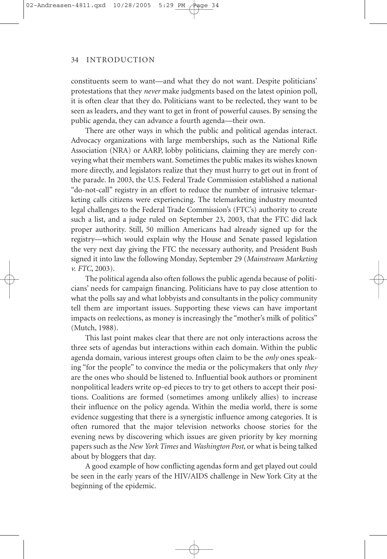constituents seem to want—and what they do not want. Despite politicians' protestations that they *never* make judgments based on the latest opinion poll, it is often clear that they do. Politicians want to be reelected, they want to be seen as leaders, and they want to get in front of powerful causes. By sensing the public agenda, they can advance a fourth agenda—their own.

There are other ways in which the public and political agendas interact. Advocacy organizations with large memberships, such as the National Rifle Association (NRA) or AARP, lobby politicians, claiming they are merely conveying what their members want. Sometimes the public makes its wishes known more directly, and legislators realize that they must hurry to get out in front of the parade. In 2003, the U.S. Federal Trade Commission established a national "do-not-call" registry in an effort to reduce the number of intrusive telemarketing calls citizens were experiencing. The telemarketing industry mounted legal challenges to the Federal Trade Commission's (FTC's) authority to create such a list, and a judge ruled on September 23, 2003, that the FTC did lack proper authority. Still, 50 million Americans had already signed up for the registry—which would explain why the House and Senate passed legislation the very next day giving the FTC the necessary authority, and President Bush signed it into law the following Monday, September 29 (*Mainstream Marketing v. FTC*, 2003).

The political agenda also often follows the public agenda because of politicians' needs for campaign financing. Politicians have to pay close attention to what the polls say and what lobbyists and consultants in the policy community tell them are important issues. Supporting these views can have important impacts on reelections, as money is increasingly the "mother's milk of politics" (Mutch, 1988).

This last point makes clear that there are not only interactions across the three sets of agendas but interactions within each domain. Within the public agenda domain, various interest groups often claim to be the *only* ones speaking "for the people" to convince the media or the policymakers that only *they* are the ones who should be listened to. Influential book authors or prominent nonpolitical leaders write op-ed pieces to try to get others to accept their positions. Coalitions are formed (sometimes among unlikely allies) to increase their influence on the policy agenda. Within the media world, there is some evidence suggesting that there is a synergistic influence among categories. It is often rumored that the major television networks choose stories for the evening news by discovering which issues are given priority by key morning papers such as the *New York Times* and *Washington Post,* or what is being talked about by bloggers that day.

A good example of how conflicting agendas form and get played out could be seen in the early years of the HIV/AIDS challenge in New York City at the beginning of the epidemic.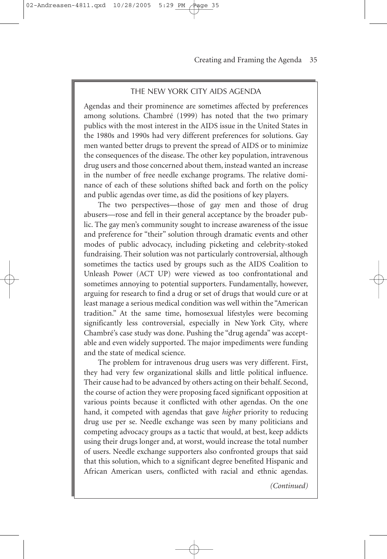#### THE NEW YORK CITY AIDS AGENDA

Agendas and their prominence are sometimes affected by preferences among solutions. Chambré (1999) has noted that the two primary publics with the most interest in the AIDS issue in the United States in the 1980s and 1990s had very different preferences for solutions. Gay men wanted better drugs to prevent the spread of AIDS or to minimize the consequences of the disease. The other key population, intravenous drug users and those concerned about them, instead wanted an increase in the number of free needle exchange programs. The relative dominance of each of these solutions shifted back and forth on the policy and public agendas over time, as did the positions of key players.

The two perspectives—those of gay men and those of drug abusers—rose and fell in their general acceptance by the broader public. The gay men's community sought to increase awareness of the issue and preference for "their" solution through dramatic events and other modes of public advocacy, including picketing and celebrity-stoked fundraising. Their solution was not particularly controversial, although sometimes the tactics used by groups such as the AIDS Coalition to Unleash Power (ACT UP) were viewed as too confrontational and sometimes annoying to potential supporters. Fundamentally, however, arguing for research to find a drug or set of drugs that would cure or at least manage a serious medical condition was well within the "American tradition." At the same time, homosexual lifestyles were becoming significantly less controversial, especially in New York City, where Chambré's case study was done. Pushing the "drug agenda" was acceptable and even widely supported. The major impediments were funding and the state of medical science.

The problem for intravenous drug users was very different. First, they had very few organizational skills and little political influence. Their cause had to be advanced by others acting on their behalf. Second, the course of action they were proposing faced significant opposition at various points because it conflicted with other agendas. On the one hand, it competed with agendas that gave *higher* priority to reducing drug use per se. Needle exchange was seen by many politicians and competing advocacy groups as a tactic that would, at best, keep addicts using their drugs longer and, at worst, would increase the total number of users. Needle exchange supporters also confronted groups that said that this solution, which to a significant degree benefited Hispanic and African American users, conflicted with racial and ethnic agendas.

*(Continued)*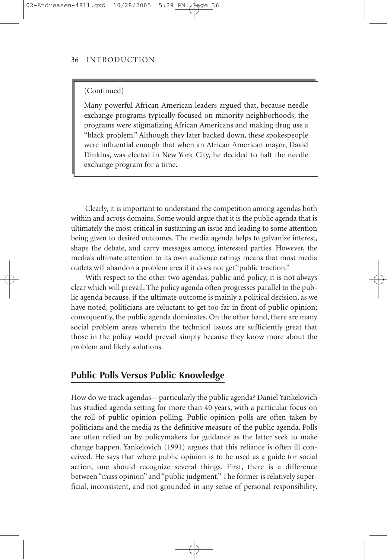#### (Continued)

Many powerful African American leaders argued that, because needle exchange programs typically focused on minority neighborhoods, the programs were stigmatizing African Americans and making drug use a "black problem." Although they later backed down, these spokespeople were influential enough that when an African American mayor, David Dinkins, was elected in New York City, he decided to halt the needle exchange program for a time.

Clearly, it is important to understand the competition among agendas both within and across domains. Some would argue that it is the public agenda that is ultimately the most critical in sustaining an issue and leading to some attention being given to desired outcomes. The media agenda helps to galvanize interest, shape the debate, and carry messages among interested parties. However, the media's ultimate attention to its own audience ratings means that most media outlets will abandon a problem area if it does not get "public traction."

With respect to the other two agendas, public and policy, it is not always clear which will prevail. The policy agenda often progresses parallel to the public agenda because, if the ultimate outcome is mainly a political decision, as we have noted, politicians are reluctant to get too far in front of public opinion; consequently, the public agenda dominates. On the other hand, there are many social problem areas wherein the technical issues are sufficiently great that those in the policy world prevail simply because they know more about the problem and likely solutions.

# **Public Polls Versus Public Knowledge**

How do we track agendas—particularly the public agenda? Daniel Yankelovich has studied agenda setting for more than 40 years, with a particular focus on the roll of public opinion polling. Public opinion polls are often taken by politicians and the media as the definitive measure of the public agenda. Polls are often relied on by policymakers for guidance as the latter seek to make change happen. Yankelovich (1991) argues that this reliance is often ill conceived. He says that where public opinion is to be used as a guide for social action, one should recognize several things. First, there is a difference between "mass opinion" and "public judgment." The former is relatively superficial, inconsistent, and not grounded in any sense of personal responsibility.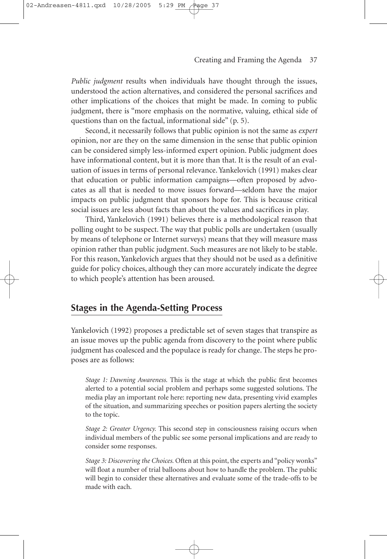*Public judgment* results when individuals have thought through the issues, understood the action alternatives, and considered the personal sacrifices and other implications of the choices that might be made. In coming to public judgment, there is "more emphasis on the normative, valuing, ethical side of questions than on the factual, informational side" (p. 5).

Second, it necessarily follows that public opinion is not the same as *expert* opinion, nor are they on the same dimension in the sense that public opinion can be considered simply less-informed expert opinion. Public judgment does have informational content, but it is more than that. It is the result of an evaluation of issues in terms of personal relevance. Yankelovich (1991) makes clear that education or public information campaigns—often proposed by advocates as all that is needed to move issues forward—seldom have the major impacts on public judgment that sponsors hope for. This is because critical social issues are less about facts than about the values and sacrifices in play.

Third, Yankelovich (1991) believes there is a methodological reason that polling ought to be suspect. The way that public polls are undertaken (usually by means of telephone or Internet surveys) means that they will measure mass opinion rather than public judgment. Such measures are not likely to be stable. For this reason, Yankelovich argues that they should not be used as a definitive guide for policy choices, although they can more accurately indicate the degree to which people's attention has been aroused.

# **Stages in the Agenda-Setting Process**

Yankelovich (1992) proposes a predictable set of seven stages that transpire as an issue moves up the public agenda from discovery to the point where public judgment has coalesced and the populace is ready for change. The steps he proposes are as follows:

*Stage 1: Dawning Awareness.* This is the stage at which the public first becomes alerted to a potential social problem and perhaps some suggested solutions. The media play an important role here: reporting new data, presenting vivid examples of the situation, and summarizing speeches or position papers alerting the society to the topic.

*Stage 2: Greater Urgency.* This second step in consciousness raising occurs when individual members of the public see some personal implications and are ready to consider some responses.

*Stage 3: Discovering the Choices.* Often at this point, the experts and "policy wonks" will float a number of trial balloons about how to handle the problem. The public will begin to consider these alternatives and evaluate some of the trade-offs to be made with each.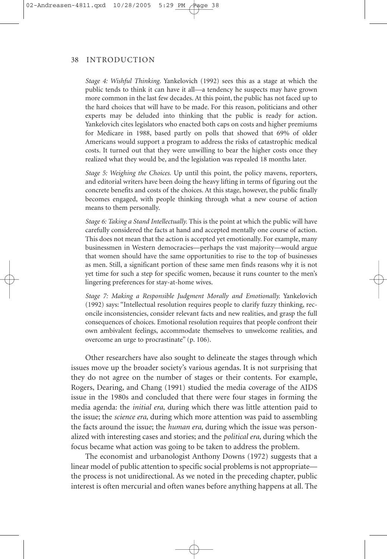*Stage 4: Wishful Thinking.* Yankelovich (1992) sees this as a stage at which the public tends to think it can have it all—a tendency he suspects may have grown more common in the last few decades. At this point, the public has not faced up to the hard choices that will have to be made. For this reason, politicians and other experts may be deluded into thinking that the public is ready for action. Yankelovich cites legislators who enacted both caps on costs and higher premiums for Medicare in 1988, based partly on polls that showed that 69% of older Americans would support a program to address the risks of catastrophic medical costs. It turned out that they were unwilling to bear the higher costs once they realized what they would be, and the legislation was repealed 18 months later.

*Stage 5: Weighing the Choices.* Up until this point, the policy mavens, reporters, and editorial writers have been doing the heavy lifting in terms of figuring out the concrete benefits and costs of the choices. At this stage, however, the public finally becomes engaged, with people thinking through what a new course of action means to them personally.

*Stage 6: Taking a Stand Intellectually.* This is the point at which the public will have carefully considered the facts at hand and accepted mentally one course of action. This does not mean that the action is accepted yet emotionally. For example, many businessmen in Western democracies—perhaps the vast majority—would argue that women should have the same opportunities to rise to the top of businesses as men. Still, a significant portion of these same men finds reasons why it is not yet time for such a step for specific women, because it runs counter to the men's lingering preferences for stay-at-home wives.

*Stage 7: Making a Responsible Judgment Morally and Emotionally.* Yankelovich (1992) says: "Intellectual resolution requires people to clarify fuzzy thinking, reconcile inconsistencies, consider relevant facts and new realities, and grasp the full consequences of choices. Emotional resolution requires that people confront their own ambivalent feelings, accommodate themselves to unwelcome realities, and overcome an urge to procrastinate" (p. 106).

Other researchers have also sought to delineate the stages through which issues move up the broader society's various agendas. It is not surprising that they do not agree on the number of stages or their contents. For example, Rogers, Dearing, and Chang (1991) studied the media coverage of the AIDS issue in the 1980s and concluded that there were four stages in forming the media agenda: the *initial era,* during which there was little attention paid to the issue; the *science era,* during which more attention was paid to assembling the facts around the issue; the *human era,* during which the issue was personalized with interesting cases and stories; and the *political era,* during which the focus became what action was going to be taken to address the problem.

The economist and urbanologist Anthony Downs (1972) suggests that a linear model of public attention to specific social problems is not appropriate the process is not unidirectional. As we noted in the preceding chapter, public interest is often mercurial and often wanes before anything happens at all. The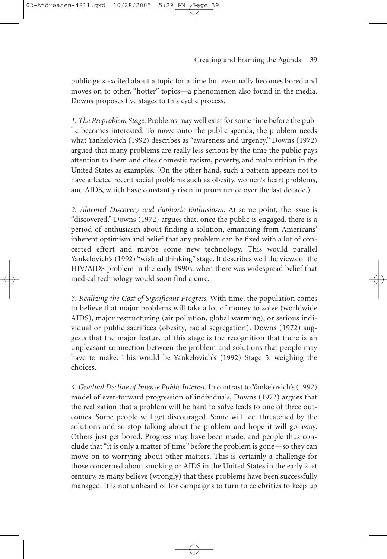public gets excited about a topic for a time but eventually becomes bored and moves on to other, "hotter" topics—a phenomenon also found in the media. Downs proposes five stages to this cyclic process.

*1. The Preproblem Stage.* Problems may well exist for some time before the public becomes interested. To move onto the public agenda, the problem needs what Yankelovich (1992) describes as "awareness and urgency." Downs (1972) argued that many problems are really less serious by the time the public pays attention to them and cites domestic racism, poverty, and malnutrition in the United States as examples. (On the other hand, such a pattern appears not to have affected recent social problems such as obesity, women's heart problems, and AIDS, which have constantly risen in prominence over the last decade.)

*2. Alarmed Discovery and Euphoric Enthusiasm.* At some point, the issue is "discovered." Downs (1972) argues that, once the public is engaged, there is a period of enthusiasm about finding a solution, emanating from Americans' inherent optimism and belief that any problem can be fixed with a lot of concerted effort and maybe some new technology. This would parallel Yankelovich's (1992) "wishful thinking" stage. It describes well the views of the HIV/AIDS problem in the early 1990s, when there was widespread belief that medical technology would soon find a cure.

*3. Realizing the Cost of Significant Progress.* With time, the population comes to believe that major problems will take a lot of money to solve (worldwide AIDS), major restructuring (air pollution, global warming), or serious individual or public sacrifices (obesity, racial segregation). Downs (1972) suggests that the major feature of this stage is the recognition that there is an unpleasant connection between the problem and solutions that people may have to make. This would be Yankelovich's (1992) Stage 5: weighing the choices.

*4. Gradual Decline of Intense Public Interest.* In contrast to Yankelovich's (1992) model of ever-forward progression of individuals, Downs (1972) argues that the realization that a problem will be hard to solve leads to one of three outcomes. Some people will get discouraged. Some will feel threatened by the solutions and so stop talking about the problem and hope it will go away. Others just get bored. Progress may have been made, and people thus conclude that "it is only a matter of time" before the problem is gone—so they can move on to worrying about other matters. This is certainly a challenge for those concerned about smoking or AIDS in the United States in the early 21st century, as many believe (wrongly) that these problems have been successfully managed. It is not unheard of for campaigns to turn to celebrities to keep up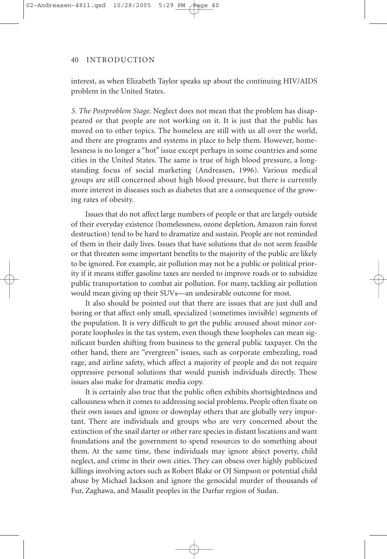interest, as when Elizabeth Taylor speaks up about the continuing HIV/AIDS problem in the United States.

*5. The Postproblem Stage.* Neglect does not mean that the problem has disappeared or that people are not working on it. It is just that the public has moved on to other topics. The homeless are still with us all over the world, and there are programs and systems in place to help them. However, homelessness is no longer a "hot" issue except perhaps in some countries and some cities in the United States. The same is true of high blood pressure, a longstanding focus of social marketing (Andreasen, 1996). Various medical groups are still concerned about high blood pressure, but there is currently more interest in diseases such as diabetes that are a consequence of the growing rates of obesity.

Issues that do not affect large numbers of people or that are largely outside of their everyday existence (homelessness, ozone depletion, Amazon rain forest destruction) tend to be hard to dramatize and sustain. People are not reminded of them in their daily lives. Issues that have solutions that do not seem feasible or that threaten some important benefits to the majority of the public are likely to be ignored. For example, air pollution may not be a public or political priority if it means stiffer gasoline taxes are needed to improve roads or to subsidize public transportation to combat air pollution. For many, tackling air pollution would mean giving up their SUVs—an undesirable outcome for most.

It also should be pointed out that there are issues that are just dull and boring or that affect only small, specialized (sometimes invisible) segments of the population. It is very difficult to get the public aroused about minor corporate loopholes in the tax system, even though these loopholes can mean significant burden shifting from business to the general public taxpayer. On the other hand, there are "evergreen" issues, such as corporate embezzling, road rage, and airline safety, which affect a majority of people and do not require oppressive personal solutions that would punish individuals directly. These issues also make for dramatic media copy.

It is certainly also true that the public often exhibits shortsightedness and callousness when it comes to addressing social problems. People often fixate on their own issues and ignore or downplay others that are globally very important. There are individuals and groups who are very concerned about the extinction of the snail darter or other rare species in distant locations and want foundations and the government to spend resources to do something about them. At the same time, these individuals may ignore abject poverty, child neglect, and crime in their own cities. They can obsess over highly publicized killings involving actors such as Robert Blake or OJ Simpson or potential child abuse by Michael Jackson and ignore the genocidal murder of thousands of Fur, Zaghawa, and Masalit peoples in the Darfur region of Sudan.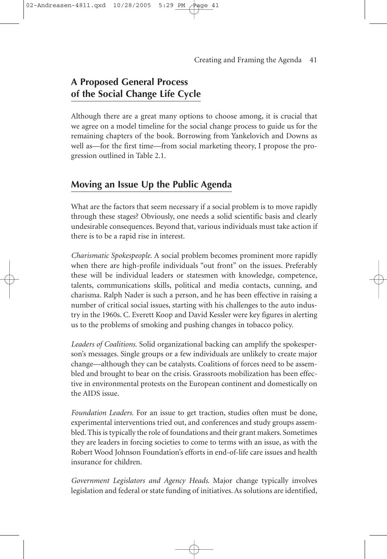# **A Proposed General Process of the Social Change Life Cycle**

Although there are a great many options to choose among, it is crucial that we agree on a model timeline for the social change process to guide us for the remaining chapters of the book. Borrowing from Yankelovich and Downs as well as—for the first time—from social marketing theory, I propose the progression outlined in Table 2.1.

# **Moving an Issue Up the Public Agenda**

What are the factors that seem necessary if a social problem is to move rapidly through these stages? Obviously, one needs a solid scientific basis and clearly undesirable consequences. Beyond that, various individuals must take action if there is to be a rapid rise in interest.

*Charismatic Spokespeople.* A social problem becomes prominent more rapidly when there are high-profile individuals "out front" on the issues. Preferably these will be individual leaders or statesmen with knowledge, competence, talents, communications skills, political and media contacts, cunning, and charisma. Ralph Nader is such a person, and he has been effective in raising a number of critical social issues, starting with his challenges to the auto industry in the 1960s. C. Everett Koop and David Kessler were key figures in alerting us to the problems of smoking and pushing changes in tobacco policy.

*Leaders of Coalitions.* Solid organizational backing can amplify the spokesperson's messages. Single groups or a few individuals are unlikely to create major change—although they can be catalysts. Coalitions of forces need to be assembled and brought to bear on the crisis. Grassroots mobilization has been effective in environmental protests on the European continent and domestically on the AIDS issue.

*Foundation Leaders.* For an issue to get traction, studies often must be done, experimental interventions tried out, and conferences and study groups assembled. This is typically the role of foundations and their grant makers. Sometimes they are leaders in forcing societies to come to terms with an issue, as with the Robert Wood Johnson Foundation's efforts in end-of-life care issues and health insurance for children.

*Government Legislators and Agency Heads*. Major change typically involves legislation and federal or state funding of initiatives. As solutions are identified,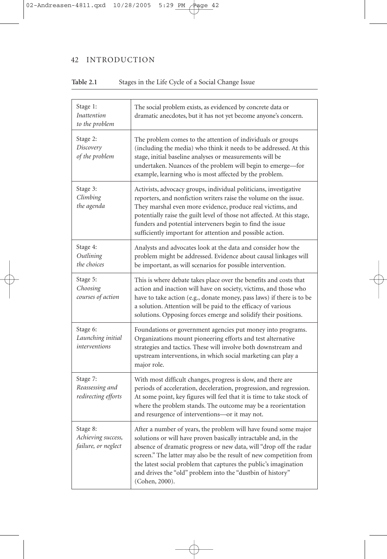# **Table 2.1** Stages in the Life Cycle of a Social Change Issue

| Stage 1:<br><b>Inattention</b><br>to the problem      | The social problem exists, as evidenced by concrete data or<br>dramatic anecdotes, but it has not yet become anyone's concern.                                                                                                                                                                                                                                                                                                     |
|-------------------------------------------------------|------------------------------------------------------------------------------------------------------------------------------------------------------------------------------------------------------------------------------------------------------------------------------------------------------------------------------------------------------------------------------------------------------------------------------------|
| Stage 2:<br>Discovery<br>of the problem               | The problem comes to the attention of individuals or groups<br>(including the media) who think it needs to be addressed. At this<br>stage, initial baseline analyses or measurements will be<br>undertaken. Nuances of the problem will begin to emerge-for<br>example, learning who is most affected by the problem.                                                                                                              |
| Stage 3:<br>Climbing<br>the agenda                    | Activists, advocacy groups, individual politicians, investigative<br>reporters, and nonfiction writers raise the volume on the issue.<br>They marshal even more evidence, produce real victims, and<br>potentially raise the guilt level of those not affected. At this stage,<br>funders and potential interveners begin to find the issue<br>sufficiently important for attention and possible action.                           |
| Stage 4:<br>Outlining<br>the choices                  | Analysts and advocates look at the data and consider how the<br>problem might be addressed. Evidence about causal linkages will<br>be important, as will scenarios for possible intervention.                                                                                                                                                                                                                                      |
| Stage 5:<br>Choosing<br>courses of action             | This is where debate takes place over the benefits and costs that<br>action and inaction will have on society, victims, and those who<br>have to take action (e.g., donate money, pass laws) if there is to be<br>a solution. Attention will be paid to the efficacy of various<br>solutions. Opposing forces emerge and solidify their positions.                                                                                 |
| Stage 6:<br>Launching initial<br>interventions        | Foundations or government agencies put money into programs.<br>Organizations mount pioneering efforts and test alternative<br>strategies and tactics. These will involve both downstream and<br>upstream interventions, in which social marketing can play a<br>major role.                                                                                                                                                        |
| Stage 7:<br>Reassessing and<br>redirecting efforts    | With most difficult changes, progress is slow, and there are<br>periods of acceleration, deceleration, progression, and regression.<br>At some point, key figures will feel that it is time to take stock of<br>where the problem stands. The outcome may be a reorientation<br>and resurgence of interventions-or it may not.                                                                                                     |
| Stage 8:<br>Achieving success,<br>failure, or neglect | After a number of years, the problem will have found some major<br>solutions or will have proven basically intractable and, in the<br>absence of dramatic progress or new data, will "drop off the radar<br>screen." The latter may also be the result of new competition from<br>the latest social problem that captures the public's imagination<br>and drives the "old" problem into the "dustbin of history"<br>(Cohen, 2000). |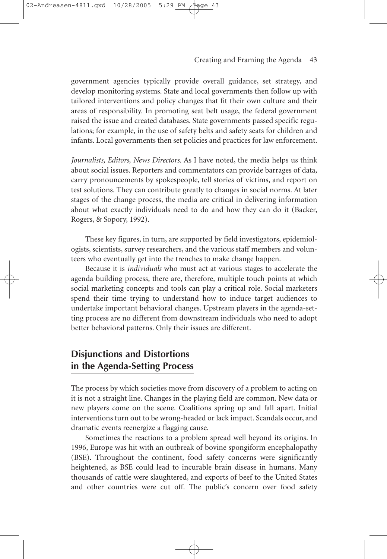## 02-Andreasen-4811.qxd 10/28/2005

#### Creating and Framing the Agenda—43

government agencies typically provide overall guidance, set strategy, and develop monitoring systems. State and local governments then follow up with tailored interventions and policy changes that fit their own culture and their areas of responsibility. In promoting seat belt usage, the federal government raised the issue and created databases. State governments passed specific regulations; for example, in the use of safety belts and safety seats for children and infants. Local governments then set policies and practices for law enforcement.

*Journalists, Editors, News Directors.* As I have noted, the media helps us think about social issues. Reporters and commentators can provide barrages of data, carry pronouncements by spokespeople, tell stories of victims, and report on test solutions. They can contribute greatly to changes in social norms. At later stages of the change process, the media are critical in delivering information about what exactly individuals need to do and how they can do it (Backer, Rogers, & Sopory, 1992).

These key figures, in turn, are supported by field investigators, epidemiologists, scientists, survey researchers, and the various staff members and volunteers who eventually get into the trenches to make change happen.

Because it is *individuals* who must act at various stages to accelerate the agenda building process, there are, therefore, multiple touch points at which social marketing concepts and tools can play a critical role. Social marketers spend their time trying to understand how to induce target audiences to undertake important behavioral changes. Upstream players in the agenda-setting process are no different from downstream individuals who need to adopt better behavioral patterns. Only their issues are different.

# **Disjunctions and Distortions in the Agenda-Setting Process**

The process by which societies move from discovery of a problem to acting on it is not a straight line. Changes in the playing field are common. New data or new players come on the scene. Coalitions spring up and fall apart. Initial interventions turn out to be wrong-headed or lack impact. Scandals occur, and dramatic events reenergize a flagging cause.

Sometimes the reactions to a problem spread well beyond its origins. In 1996, Europe was hit with an outbreak of bovine spongiform encephalopathy (BSE). Throughout the continent, food safety concerns were significantly heightened, as BSE could lead to incurable brain disease in humans. Many thousands of cattle were slaughtered, and exports of beef to the United States and other countries were cut off. The public's concern over food safety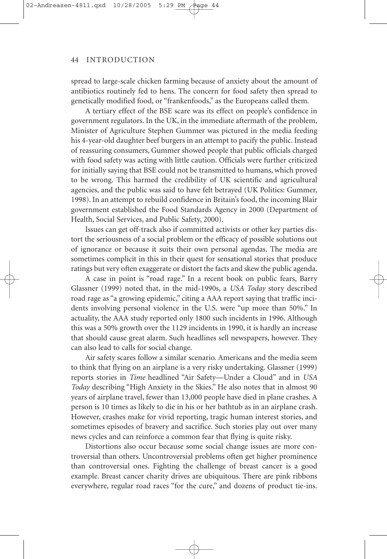spread to large-scale chicken farming because of anxiety about the amount of antibiotics routinely fed to hens. The concern for food safety then spread to genetically modified food, or "frankenfoods," as the Europeans called them.

A tertiary effect of the BSE scare was its effect on people's confidence in government regulators. In the UK, in the immediate aftermath of the problem, Minister of Agriculture Stephen Gummer was pictured in the media feeding his 4-year-old daughter beef burgers in an attempt to pacify the public. Instead of reassuring consumers, Gummer showed people that public officials charged with food safety was acting with little caution. Officials were further criticized for initially saying that BSE could not be transmitted to humans, which proved to be wrong. This harmed the credibility of UK scientific and agricultural agencies, and the public was said to have felt betrayed (UK Politics: Gummer, 1998). In an attempt to rebuild confidence in Britain's food, the incoming Blair government established the Food Standards Agency in 2000 (Department of Health, Social Services, and Public Safety, 2000).

Issues can get off-track also if committed activists or other key parties distort the seriousness of a social problem or the efficacy of possible solutions out of ignorance or because it suits their own personal agendas. The media are sometimes complicit in this in their quest for sensational stories that produce ratings but very often exaggerate or distort the facts and skew the public agenda.

A case in point is "road rage." In a recent book on public fears, Barry Glassner (1999) noted that, in the mid-1990s, a *USA Today* story described road rage as "a growing epidemic," citing a AAA report saying that traffic incidents involving personal violence in the U.S. were "up more than 50%." In actuality, the AAA study reported only 1800 such incidents in 1996. Although this was a 50% growth over the 1129 incidents in 1990, it is hardly an increase that should cause great alarm. Such headlines sell newspapers, however. They can also lead to calls for social change.

Air safety scares follow a similar scenario. Americans and the media seem to think that flying on an airplane is a very risky undertaking. Glassner (1999) reports stories in *Time* headlined "Air Safety—Under a Cloud" and in *USA Today* describing "High Anxiety in the Skies." He also notes that in almost 90 years of airplane travel, fewer than 13,000 people have died in plane crashes. A person is 10 times as likely to die in his or her bathtub as in an airplane crash. However, crashes make for vivid reporting, tragic human interest stories, and sometimes episodes of bravery and sacrifice. Such stories play out over many news cycles and can reinforce a common fear that flying is quite risky.

Distortions also occur because some social change issues are more controversial than others. Uncontroversial problems often get higher prominence than controversial ones. Fighting the challenge of breast cancer is a good example. Breast cancer charity drives are ubiquitous. There are pink ribbons everywhere, regular road races "for the cure," and dozens of product tie-ins.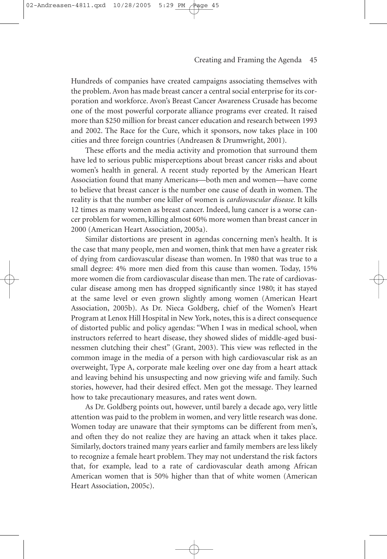Hundreds of companies have created campaigns associating themselves with the problem. Avon has made breast cancer a central social enterprise for its corporation and workforce. Avon's Breast Cancer Awareness Crusade has become one of the most powerful corporate alliance programs ever created. It raised more than \$250 million for breast cancer education and research between 1993 and 2002. The Race for the Cure, which it sponsors, now takes place in 100 cities and three foreign countries (Andreasen & Drumwright, 2001).

02-Andreasen-4811.qxd 10/28/2005

These efforts and the media activity and promotion that surround them have led to serious public misperceptions about breast cancer risks and about women's health in general. A recent study reported by the American Heart Association found that many Americans—both men and women—have come to believe that breast cancer is the number one cause of death in women. The reality is that the number one killer of women is *cardiovascular disease.* It kills 12 times as many women as breast cancer. Indeed, lung cancer is a worse cancer problem for women, killing almost 60% more women than breast cancer in 2000 (American Heart Association, 2005a).

Similar distortions are present in agendas concerning men's health. It is the case that many people, men and women, think that men have a greater risk of dying from cardiovascular disease than women. In 1980 that was true to a small degree: 4% more men died from this cause than women. Today, 15% more women die from cardiovascular disease than men. The rate of cardiovascular disease among men has dropped significantly since 1980; it has stayed at the same level or even grown slightly among women (American Heart Association, 2005b). As Dr. Nieca Goldberg, chief of the Women's Heart Program at Lenox Hill Hospital in New York, notes, this is a direct consequence of distorted public and policy agendas: "When I was in medical school, when instructors referred to heart disease, they showed slides of middle-aged businessmen clutching their chest" (Grant, 2003). This view was reflected in the common image in the media of a person with high cardiovascular risk as an overweight, Type A, corporate male keeling over one day from a heart attack and leaving behind his unsuspecting and now grieving wife and family. Such stories, however, had their desired effect. Men got the message. They learned how to take precautionary measures, and rates went down.

As Dr. Goldberg points out, however, until barely a decade ago, very little attention was paid to the problem in women, and very little research was done. Women today are unaware that their symptoms can be different from men's, and often they do not realize they are having an attack when it takes place. Similarly, doctors trained many years earlier and family members are less likely to recognize a female heart problem. They may not understand the risk factors that, for example, lead to a rate of cardiovascular death among African American women that is 50% higher than that of white women (American Heart Association, 2005c).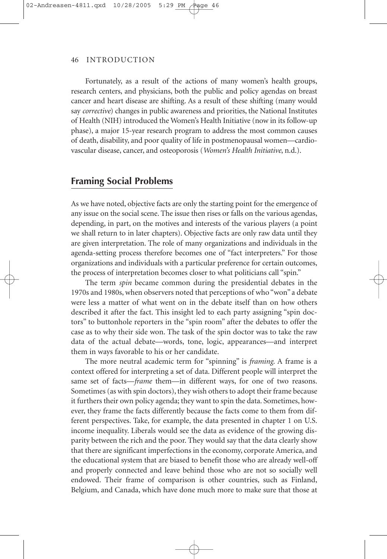Fortunately, as a result of the actions of many women's health groups, research centers, and physicians, both the public and policy agendas on breast cancer and heart disease are shifting. As a result of these shifting (many would say *corrective*) changes in public awareness and priorities, the National Institutes of Health (NIH) introduced the Women's Health Initiative (now in its follow-up phase), a major 15-year research program to address the most common causes of death, disability, and poor quality of life in postmenopausal women—cardiovascular disease, cancer, and osteoporosis (*Women's Health Initiative*, n.d.).

# **Framing Social Problems**

As we have noted, objective facts are only the starting point for the emergence of any issue on the social scene. The issue then rises or falls on the various agendas, depending, in part, on the motives and interests of the various players (a point we shall return to in later chapters). Objective facts are only raw data until they are given interpretation. The role of many organizations and individuals in the agenda-setting process therefore becomes one of "fact interpreters." For those organizations and individuals with a particular preference for certain outcomes, the process of interpretation becomes closer to what politicians call "spin."

The term *spin* became common during the presidential debates in the 1970s and 1980s, when observers noted that perceptions of who "won" a debate were less a matter of what went on in the debate itself than on how others described it after the fact. This insight led to each party assigning "spin doctors" to buttonhole reporters in the "spin room" after the debates to offer the case as to why their side won. The task of the spin doctor was to take the raw data of the actual debate—words, tone, logic, appearances—and interpret them in ways favorable to his or her candidate.

The more neutral academic term for "spinning" is *framing*. A frame is a context offered for interpreting a set of data. Different people will interpret the same set of facts—*frame* them—in different ways, for one of two reasons. Sometimes (as with spin doctors), they wish others to adopt their frame because it furthers their own policy agenda; they want to spin the data. Sometimes, however, they frame the facts differently because the facts come to them from different perspectives. Take, for example, the data presented in chapter 1 on U.S. income inequality. Liberals would see the data as evidence of the growing disparity between the rich and the poor. They would say that the data clearly show that there are significant imperfections in the economy, corporate America, and the educational system that are biased to benefit those who are already well-off and properly connected and leave behind those who are not so socially well endowed. Their frame of comparison is other countries, such as Finland, Belgium, and Canada, which have done much more to make sure that those at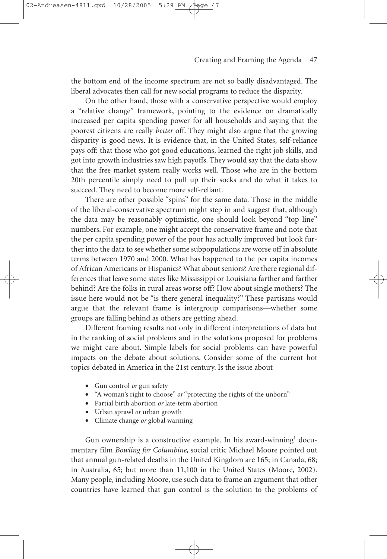the bottom end of the income spectrum are not so badly disadvantaged. The liberal advocates then call for new social programs to reduce the disparity.

On the other hand, those with a conservative perspective would employ a "relative change" framework, pointing to the evidence on dramatically increased per capita spending power for all households and saying that the poorest citizens are really *better* off. They might also argue that the growing disparity is good news. It is evidence that, in the United States, self-reliance pays off: that those who got good educations, learned the right job skills, and got into growth industries saw high payoffs. They would say that the data show that the free market system really works well. Those who are in the bottom 20th percentile simply need to pull up their socks and do what it takes to succeed. They need to become more self-reliant.

There are other possible "spins" for the same data. Those in the middle of the liberal-conservative spectrum might step in and suggest that, although the data may be reasonably optimistic, one should look beyond "top line" numbers. For example, one might accept the conservative frame and note that the per capita spending power of the poor has actually improved but look further into the data to see whether some subpopulations are worse off in absolute terms between 1970 and 2000. What has happened to the per capita incomes of African Americans or Hispanics? What about seniors? Are there regional differences that leave some states like Mississippi or Louisiana farther and farther behind? Are the folks in rural areas worse off? How about single mothers? The issue here would not be "is there general inequality?" These partisans would argue that the relevant frame is intergroup comparisons—whether some groups are falling behind as others are getting ahead.

Different framing results not only in different interpretations of data but in the ranking of social problems and in the solutions proposed for problems we might care about. Simple labels for social problems can have powerful impacts on the debate about solutions. Consider some of the current hot topics debated in America in the 21st century. Is the issue about

- Gun control *or* gun safety
- "A woman's right to choose" *or* "protecting the rights of the unborn"
- Partial birth abortion *or* late-term abortion
- Urban sprawl *or* urban growth
- Climate change *or* global warming

Gun ownership is a constructive example. In his award-winning<sup>1</sup> documentary film *Bowling for Columbine,* social critic Michael Moore pointed out that annual gun-related deaths in the United Kingdom are 165; in Canada, 68; in Australia, 65; but more than 11,100 in the United States (Moore, 2002). Many people, including Moore, use such data to frame an argument that other countries have learned that gun control is the solution to the problems of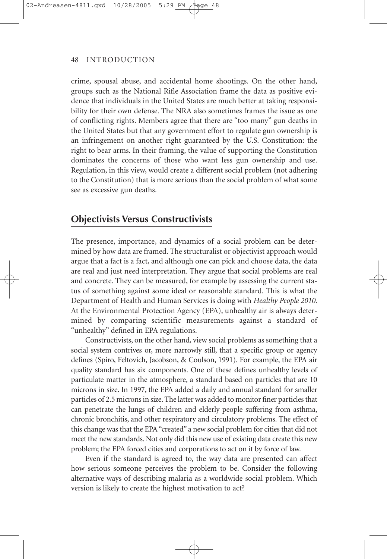crime, spousal abuse, and accidental home shootings. On the other hand, groups such as the National Rifle Association frame the data as positive evidence that individuals in the United States are much better at taking responsibility for their own defense. The NRA also sometimes frames the issue as one of conflicting rights. Members agree that there are "too many" gun deaths in the United States but that any government effort to regulate gun ownership is an infringement on another right guaranteed by the U.S. Constitution: the right to bear arms. In their framing, the value of supporting the Constitution dominates the concerns of those who want less gun ownership and use. Regulation, in this view, would create a different social problem (not adhering to the Constitution) that is more serious than the social problem of what some see as excessive gun deaths.

## **Objectivists Versus Constructivists**

The presence, importance, and dynamics of a social problem can be determined by how data are framed. The structuralist or objectivist approach would argue that a fact is a fact, and although one can pick and choose data, the data are real and just need interpretation. They argue that social problems are real and concrete. They can be measured, for example by assessing the current status of something against some ideal or reasonable standard. This is what the Department of Health and Human Services is doing with *Healthy People 2010.* At the Environmental Protection Agency (EPA), unhealthy air is always determined by comparing scientific measurements against a standard of "unhealthy" defined in EPA regulations.

Constructivists, on the other hand, view social problems as something that a social system contrives or, more narrowly still, that a specific group or agency defines (Spiro, Feltovich, Jacobson, & Coulson, 1991). For example, the EPA air quality standard has six components. One of these defines unhealthy levels of particulate matter in the atmosphere, a standard based on particles that are 10 microns in size. In 1997, the EPA added a daily and annual standard for smaller particles of 2.5 microns in size. The latter was added to monitor finer particles that can penetrate the lungs of children and elderly people suffering from asthma, chronic bronchitis, and other respiratory and circulatory problems. The effect of this change was that the EPA "created" a new social problem for cities that did not meet the new standards. Not only did this new use of existing data create this new problem; the EPA forced cities and corporations to act on it by force of law.

Even if the standard is agreed to, the way data are presented can affect how serious someone perceives the problem to be. Consider the following alternative ways of describing malaria as a worldwide social problem. Which version is likely to create the highest motivation to act?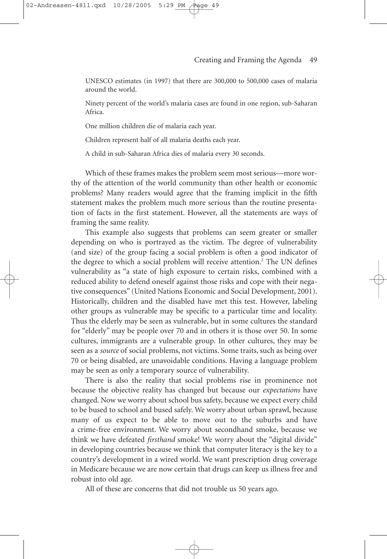UNESCO estimates (in 1997) that there are 300,000 to 500,000 cases of malaria around the world.

Ninety percent of the world's malaria cases are found in one region, sub-Saharan Africa.

One million children die of malaria each year.

02-Andreasen-4811.qxd 10/28/2005

Children represent half of all malaria deaths each year.

A child in sub-Saharan Africa dies of malaria every 30 seconds.

Which of these frames makes the problem seem most serious—more worthy of the attention of the world community than other health or economic problems? Many readers would agree that the framing implicit in the fifth statement makes the problem much more serious than the routine presentation of facts in the first statement. However, all the statements are ways of framing the same reality.

This example also suggests that problems can seem greater or smaller depending on who is portrayed as the victim. The degree of vulnerability (and size) of the group facing a social problem is often a good indicator of the degree to which a social problem will receive attention.<sup>2</sup> The UN defines vulnerability as "a state of high exposure to certain risks, combined with a reduced ability to defend oneself against those risks and cope with their negative consequences" (United Nations Economic and Social Development, 2001). Historically, children and the disabled have met this test. However, labeling other groups as vulnerable may be specific to a particular time and locality. Thus the elderly may be seen as vulnerable, but in some cultures the standard for "elderly" may be people over 70 and in others it is those over 50. In some cultures, immigrants are a vulnerable group. In other cultures, they may be seen as a *source* of social problems, not victims. Some traits, such as being over 70 or being disabled, are unavoidable conditions. Having a language problem may be seen as only a temporary source of vulnerability.

There is also the reality that social problems rise in prominence not because the objective reality has changed but because our *expectations* have changed. Now we worry about school bus safety, because we expect every child to be bused to school and bused safely. We worry about urban sprawl, because many of us expect to be able to move out to the suburbs and have a crime-free environment. We worry about secondhand smoke, because we think we have defeated *firsthand* smoke! We worry about the "digital divide" in developing countries because we think that computer literacy is the key to a country's development in a wired world. We want prescription drug coverage in Medicare because we are now certain that drugs can keep us illness free and robust into old age.

All of these are concerns that did not trouble us 50 years ago.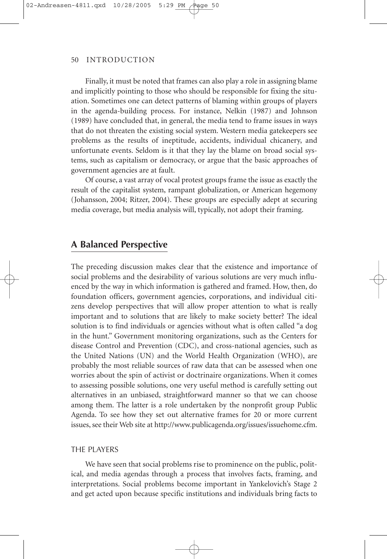Finally, it must be noted that frames can also play a role in assigning blame and implicitly pointing to those who should be responsible for fixing the situation. Sometimes one can detect patterns of blaming within groups of players in the agenda-building process. For instance, Nelkin (1987) and Johnson (1989) have concluded that, in general, the media tend to frame issues in ways that do not threaten the existing social system. Western media gatekeepers see problems as the results of ineptitude, accidents, individual chicanery, and unfortunate events. Seldom is it that they lay the blame on broad social systems, such as capitalism or democracy, or argue that the basic approaches of government agencies are at fault.

Of course, a vast array of vocal protest groups frame the issue as exactly the result of the capitalist system, rampant globalization, or American hegemony (Johansson, 2004; Ritzer, 2004). These groups are especially adept at securing media coverage, but media analysis will, typically, not adopt their framing.

# **A Balanced Perspective**

The preceding discussion makes clear that the existence and importance of social problems and the desirability of various solutions are very much influenced by the way in which information is gathered and framed. How, then, do foundation officers, government agencies, corporations, and individual citizens develop perspectives that will allow proper attention to what is really important and to solutions that are likely to make society better? The ideal solution is to find individuals or agencies without what is often called "a dog in the hunt." Government monitoring organizations, such as the Centers for disease Control and Prevention (CDC), and cross-national agencies, such as the United Nations (UN) and the World Health Organization (WHO), are probably the most reliable sources of raw data that can be assessed when one worries about the spin of activist or doctrinaire organizations. When it comes to assessing possible solutions, one very useful method is carefully setting out alternatives in an unbiased, straightforward manner so that we can choose among them. The latter is a role undertaken by the nonprofit group Public Agenda. To see how they set out alternative frames for 20 or more current issues, see their Web site at http://www.publicagenda.org/issues/issuehome.cfm.

#### THE PLAYERS

We have seen that social problems rise to prominence on the public, political, and media agendas through a process that involves facts, framing, and interpretations. Social problems become important in Yankelovich's Stage 2 and get acted upon because specific institutions and individuals bring facts to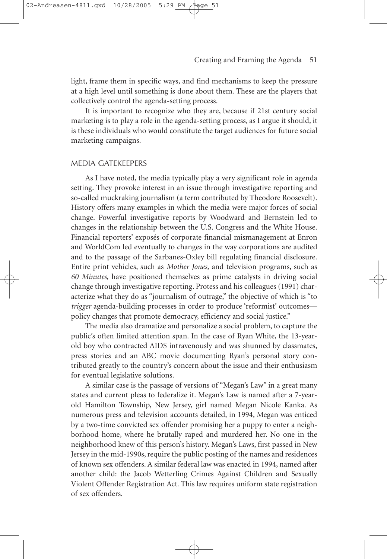light, frame them in specific ways, and find mechanisms to keep the pressure at a high level until something is done about them. These are the players that collectively control the agenda-setting process.

It is important to recognize who they are, because if 21st century social marketing is to play a role in the agenda-setting process, as I argue it should, it is these individuals who would constitute the target audiences for future social marketing campaigns.

#### MEDIA GATEKEEPERS

As I have noted, the media typically play a very significant role in agenda setting. They provoke interest in an issue through investigative reporting and so-called muckraking journalism (a term contributed by Theodore Roosevelt). History offers many examples in which the media were major forces of social change. Powerful investigative reports by Woodward and Bernstein led to changes in the relationship between the U.S. Congress and the White House. Financial reporters' exposés of corporate financial mismanagement at Enron and WorldCom led eventually to changes in the way corporations are audited and to the passage of the Sarbanes-Oxley bill regulating financial disclosure. Entire print vehicles, such as *Mother Jones,* and television programs, such as *60 Minutes*, have positioned themselves as prime catalysts in driving social change through investigative reporting. Protess and his colleagues (1991) characterize what they do as "journalism of outrage," the objective of which is "to *trigger* agenda-building processes in order to produce 'reformist' outcomes policy changes that promote democracy, efficiency and social justice."

The media also dramatize and personalize a social problem, to capture the public's often limited attention span. In the case of Ryan White, the 13-yearold boy who contracted AIDS intravenously and was shunned by classmates, press stories and an ABC movie documenting Ryan's personal story contributed greatly to the country's concern about the issue and their enthusiasm for eventual legislative solutions.

A similar case is the passage of versions of "Megan's Law" in a great many states and current pleas to federalize it. Megan's Law is named after a 7-yearold Hamilton Township, New Jersey, girl named Megan Nicole Kanka. As numerous press and television accounts detailed, in 1994, Megan was enticed by a two-time convicted sex offender promising her a puppy to enter a neighborhood home, where he brutally raped and murdered her. No one in the neighborhood knew of this person's history. Megan's Laws, first passed in New Jersey in the mid-1990s, require the public posting of the names and residences of known sex offenders. A similar federal law was enacted in 1994, named after another child: the Jacob Wetterling Crimes Against Children and Sexually Violent Offender Registration Act. This law requires uniform state registration of sex offenders.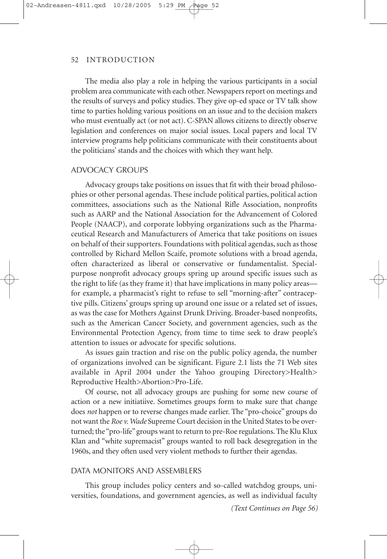The media also play a role in helping the various participants in a social problem area communicate with each other. Newspapers report on meetings and the results of surveys and policy studies. They give op-ed space or TV talk show time to parties holding various positions on an issue and to the decision makers who must eventually act (or not act). C-SPAN allows citizens to directly observe legislation and conferences on major social issues. Local papers and local TV interview programs help politicians communicate with their constituents about the politicians' stands and the choices with which they want help.

#### ADVOCACY GROUPS

Advocacy groups take positions on issues that fit with their broad philosophies or other personal agendas. These include political parties, political action committees, associations such as the National Rifle Association, nonprofits such as AARP and the National Association for the Advancement of Colored People (NAACP), and corporate lobbying organizations such as the Pharmaceutical Research and Manufacturers of America that take positions on issues on behalf of their supporters. Foundations with political agendas, such as those controlled by Richard Mellon Scaife, promote solutions with a broad agenda, often characterized as liberal or conservative or fundamentalist. Specialpurpose nonprofit advocacy groups spring up around specific issues such as the right to life (as they frame it) that have implications in many policy areas for example, a pharmacist's right to refuse to sell "morning-after" contraceptive pills. Citizens' groups spring up around one issue or a related set of issues, as was the case for Mothers Against Drunk Driving. Broader-based nonprofits, such as the American Cancer Society, and government agencies, such as the Environmental Protection Agency, from time to time seek to draw people's attention to issues or advocate for specific solutions.

As issues gain traction and rise on the public policy agenda, the number of organizations involved can be significant. Figure 2.1 lists the 71 Web sites available in April 2004 under the Yahoo grouping Directory>Health> Reproductive Health>Abortion>Pro-Life.

Of course, not all advocacy groups are pushing for some new course of action or a new initiatiive. Sometimes groups form to make sure that change does *not* happen or to reverse changes made earlier. The "pro-choice" groups do not want the *Roe v. Wade* Supreme Court decision in the United States to be overturned; the "pro-life" groups want to return to pre-Roe regulations. The Klu Klux Klan and "white supremacist" groups wanted to roll back desegregation in the 1960s, and they often used very violent methods to further their agendas.

#### DATA MONITORS AND ASSEMBLERS

This group includes policy centers and so-called watchdog groups, universities, foundations, and government agencies, as well as individual faculty

*(Text Continues on Page 56)*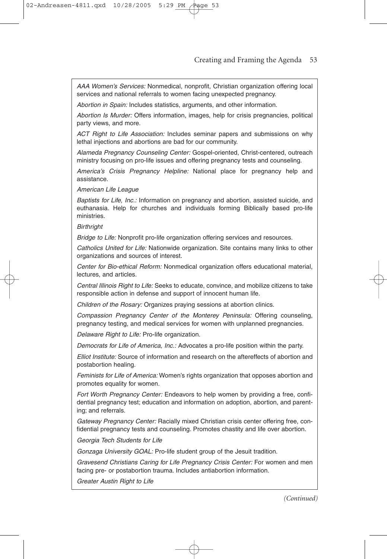AAA Women's Services: Nonmedical, nonprofit, Christian organization offering local services and national referrals to women facing unexpected pregnancy.

Abortion in Spain: Includes statistics, arguments, and other information.

Abortion Is Murder: Offers information, images, help for crisis pregnancies, political party views, and more.

ACT Right to Life Association: Includes seminar papers and submissions on why lethal injections and abortions are bad for our community.

Alameda Pregnancy Counseling Center: Gospel-oriented, Christ-centered, outreach ministry focusing on pro-life issues and offering pregnancy tests and counseling.

America's Crisis Pregnancy Helpline: National place for pregnancy help and assistance.

American Life League

Baptists for Life, Inc.: Information on pregnancy and abortion, assisted suicide, and euthanasia. Help for churches and individuals forming Biblically based pro-life ministries.

**Birthright** 

Bridge to Life: Nonprofit pro-life organization offering services and resources.

Catholics United for Life: Nationwide organization. Site contains many links to other organizations and sources of interest.

Center for Bio-ethical Reform: Nonmedical organization offers educational material, lectures, and articles.

Central Illinois Right to Life: Seeks to educate, convince, and mobilize citizens to take responsible action in defense and support of innocent human life.

Children of the Rosary: Organizes praying sessions at abortion clinics.

Compassion Pregnancy Center of the Monterey Peninsula: Offering counseling, pregnancy testing, and medical services for women with unplanned pregnancies.

Delaware Right to Life: Pro-life organization.

Democrats for Life of America, Inc.: Advocates a pro-life position within the party.

Elliot Institute: Source of information and research on the aftereffects of abortion and postabortion healing.

Feminists for Life of America: Women's rights organization that opposes abortion and promotes equality for women.

Fort Worth Pregnancy Center: Endeavors to help women by providing a free, confidential pregnancy test; education and information on adoption, abortion, and parenting; and referrals.

Gateway Pregnancy Center: Racially mixed Christian crisis center offering free, confidential pregnancy tests and counseling. Promotes chastity and life over abortion.

Georgia Tech Students for Life

Gonzaga University GOAL: Pro-life student group of the Jesuit tradition.

Gravesend Christians Caring for Life Pregnancy Crisis Center: For women and men facing pre- or postabortion trauma. Includes antiabortion information.

Greater Austin Right to Life

*(Continued)*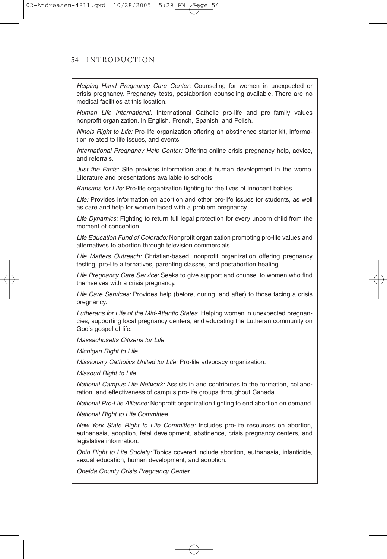Helping Hand Pregnancy Care Center: Counseling for women in unexpected or crisis pregnancy. Pregnancy tests, postabortion counseling available. There are no medical facilities at this location.

Human Life International: International Catholic pro-life and pro–family values nonprofit organization. In English, French, Spanish, and Polish.

Illinois Right to Life: Pro-life organization offering an abstinence starter kit, information related to life issues, and events.

International Pregnancy Help Center: Offering online crisis pregnancy help, advice, and referrals.

Just the Facts: Site provides information about human development in the womb. Literature and presentations available to schools.

Kansans for Life: Pro-life organization fighting for the lives of innocent babies.

Life: Provides information on abortion and other pro-life issues for students, as well as care and help for women faced with a problem pregnancy.

Life Dynamics: Fighting to return full legal protection for every unborn child from the moment of conception.

Life Education Fund of Colorado: Nonprofit organization promoting pro-life values and alternatives to abortion through television commercials.

Life Matters Outreach: Christian-based, nonprofit organization offering pregnancy testing, pro-life alternatives, parenting classes, and postabortion healing.

Life Pregnancy Care Service: Seeks to give support and counsel to women who find themselves with a crisis pregnancy.

Life Care Services: Provides help (before, during, and after) to those facing a crisis pregnancy.

Lutherans for Life of the Mid-Atlantic States: Helping women in unexpected pregnancies, supporting local pregnancy centers, and educating the Lutheran community on God's gospel of life.

Massachusetts Citizens for Life

Michigan Right to Life

Missionary Catholics United for Life: Pro-life advocacy organization.

Missouri Right to Life

National Campus Life Network: Assists in and contributes to the formation, collaboration, and effectiveness of campus pro-life groups throughout Canada.

National Pro-Life Alliance: Nonprofit organization fighting to end abortion on demand.

National Right to Life Committee

New York State Right to Life Committee: Includes pro-life resources on abortion, euthanasia, adoption, fetal development, abstinence, crisis pregnancy centers, and legislative information.

Ohio Right to Life Society: Topics covered include abortion, euthanasia, infanticide, sexual education, human development, and adoption.

Oneida County Crisis Pregnancy Center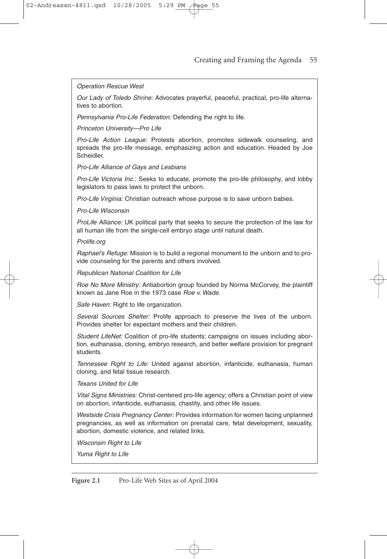#### Operation Rescue West

Our Lady of Toledo Shrine: Advocates prayerful, peaceful, practical, pro-life alternatives to abortion.

Pennsylvania Pro-Life Federation: Defending the right to life.

Princeton University—Pro Life

Pro-Life Action League: Protests abortion, promotes sidewalk counseling, and spreads the pro-life message, emphasizing action and education. Headed by Joe Scheidler.

Pro-Life Alliance of Gays and Lesbians

Pro-Life Victoria Inc.: Seeks to educate, promote the pro-life philosophy, and lobby legislators to pass laws to protect the unborn.

Pro-Life Virginia: Christian outreach whose purpose is to save unborn babies.

Pro-Life Wisconsin

ProLife Alliance: UK political party that seeks to secure the protection of the law for all human life from the single-cell embryo stage until natural death.

Prolife.org

Raphael's Refuge: Mission is to build a regional monument to the unborn and to provide counseling for the parents and others involved.

Republican National Coalition for Life

Roe No More Ministry: Antiabortion group founded by Norma McCorvey, the plaintiff known as Jane Roe in the 1973 case Roe v. Wade.

Safe Haven: Right to life organization.

Several Sources Shelter: Prolife approach to preserve the lives of the unborn. Provides shelter for expectant mothers and their children.

Student LifeNet: Coalition of pro-life students; campaigns on issues including abortion, euthanasia, cloning, embryo research, and better welfare provision for pregnant students.

Tennessee Right to Life: United against abortion, infanticide, euthanasia, human cloning, and fetal tissue research.

Texans United for Life

Vital Signs Ministries: Christ-centered pro-life agency; offers a Christian point of view on abortion, infanticide, euthanasia, chastity, and other life issues.

Westside Crisis Pregnancy Center: Provides information for women facing unplanned pregnancies, as well as information on prenatal care, fetal development, sexuality, abortion, domestic violence, and related links.

Wisconsin Right to Life

Yuma Right to Life

Figure 2.1 Pro-Life Web Sites as of April 2004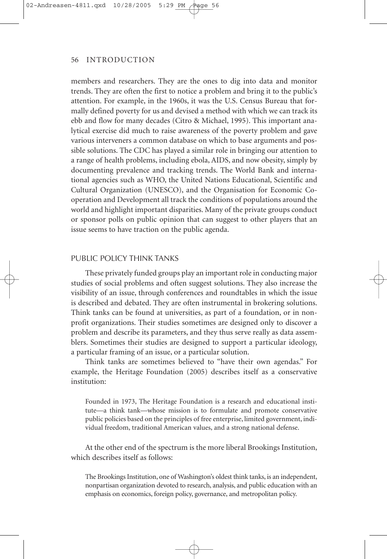members and researchers. They are the ones to dig into data and monitor trends. They are often the first to notice a problem and bring it to the public's attention. For example, in the 1960s, it was the U.S. Census Bureau that formally defined poverty for us and devised a method with which we can track its ebb and flow for many decades (Citro & Michael, 1995). This important analytical exercise did much to raise awareness of the poverty problem and gave various interveners a common database on which to base arguments and possible solutions. The CDC has played a similar role in bringing our attention to a range of health problems, including ebola, AIDS, and now obesity, simply by documenting prevalence and tracking trends. The World Bank and international agencies such as WHO, the United Nations Educational, Scientific and Cultural Organization (UNESCO), and the Organisation for Economic Cooperation and Development all track the conditions of populations around the world and highlight important disparities. Many of the private groups conduct or sponsor polls on public opinion that can suggest to other players that an issue seems to have traction on the public agenda.

#### PUBLIC POLICY THINK TANKS

These privately funded groups play an important role in conducting major studies of social problems and often suggest solutions. They also increase the visibility of an issue, through conferences and roundtables in which the issue is described and debated. They are often instrumental in brokering solutions. Think tanks can be found at universities, as part of a foundation, or in nonprofit organizations. Their studies sometimes are designed only to discover a problem and describe its parameters, and they thus serve really as data assemblers. Sometimes their studies are designed to support a particular ideology, a particular framing of an issue, or a particular solution.

Think tanks are sometimes believed to "have their own agendas." For example, the Heritage Foundation (2005) describes itself as a conservative institution:

Founded in 1973, The Heritage Foundation is a research and educational institute—a think tank—whose mission is to formulate and promote conservative public policies based on the principles of free enterprise, limited government, individual freedom, traditional American values, and a strong national defense.

At the other end of the spectrum is the more liberal Brookings Institution, which describes itself as follows:

The Brookings Institution, one of Washington's oldest think tanks, is an independent, nonpartisan organization devoted to research, analysis, and public education with an emphasis on economics, foreign policy, governance, and metropolitan policy.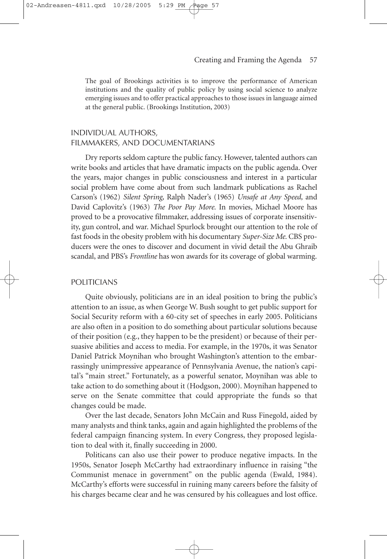The goal of Brookings activities is to improve the performance of American institutions and the quality of public policy by using social science to analyze emerging issues and to offer practical approaches to those issues in language aimed at the general public. (Brookings Institution, 2003)

# INDIVIDUAL AUTHORS, FILMMAKERS, AND DOCUMENTARIANS

Dry reports seldom capture the public fancy. However, talented authors can write books and articles that have dramatic impacts on the public agenda. Over the years, major changes in public consciousness and interest in a particular social problem have come about from such landmark publications as Rachel Carson's (1962) *Silent Spring,* Ralph Nader's (1965) *Unsafe at Any Speed,* and David Caplovitz's (1963) *The Poor Pay More.* In movies, Michael Moore has proved to be a provocative filmmaker, addressing issues of corporate insensitivity, gun control, and war. Michael Spurlock brought our attention to the role of fast foods in the obesity problem with his documentary *Super-Size Me.* CBS producers were the ones to discover and document in vivid detail the Abu Ghraib scandal, and PBS's *Frontline* has won awards for its coverage of global warming.

#### POLITICIANS

Quite obviously, politicians are in an ideal position to bring the public's attention to an issue, as when George W. Bush sought to get public support for Social Security reform with a 60-city set of speeches in early 2005. Politicians are also often in a position to do something about particular solutions because of their position (e.g., they happen to be the president) or because of their persuasive abilities and access to media. For example, in the 1970s, it was Senator Daniel Patrick Moynihan who brought Washington's attention to the embarrassingly unimpressive appearance of Pennsylvania Avenue, the nation's capital's "main street." Fortunately, as a powerful senator, Moynihan was able to take action to do something about it (Hodgson, 2000). Moynihan happened to serve on the Senate committee that could appropriate the funds so that changes could be made.

Over the last decade, Senators John McCain and Russ Finegold, aided by many analysts and think tanks, again and again highlighted the problems of the federal campaign financing system. In every Congress, they proposed legislation to deal with it, finally succeeding in 2000.

Politicans can also use their power to produce negative impacts. In the 1950s, Senator Joseph McCarthy had extraordinary influence in raising "the Communist menace in government" on the public agenda (Ewald, 1984). McCarthy's efforts were successful in ruining many careers before the falsity of his charges became clear and he was censured by his colleagues and lost office.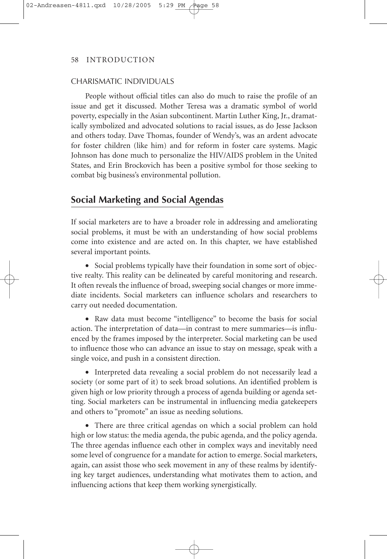#### CHARISMATIC INDIVIDUALS

People without official titles can also do much to raise the profile of an issue and get it discussed. Mother Teresa was a dramatic symbol of world poverty, especially in the Asian subcontinent. Martin Luther King, Jr., dramatically symbolized and advocated solutions to racial issues, as do Jesse Jackson and others today. Dave Thomas, founder of Wendy's, was an ardent advocate for foster children (like him) and for reform in foster care systems. Magic Johnson has done much to personalize the HIV/AIDS problem in the United States, and Erin Brockovich has been a positive symbol for those seeking to combat big business's environmental pollution.

# **Social Marketing and Social Agendas**

If social marketers are to have a broader role in addressing and ameliorating social problems, it must be with an understanding of how social problems come into existence and are acted on. In this chapter, we have established several important points.

• Social problems typically have their foundation in some sort of objective realty. This reality can be delineated by careful monitoring and research. It often reveals the influence of broad, sweeping social changes or more immediate incidents. Social marketers can influence scholars and researchers to carry out needed documentation.

• Raw data must become "intelligence" to become the basis for social action. The interpretation of data—in contrast to mere summaries—is influenced by the frames imposed by the interpreter. Social marketing can be used to influence those who can advance an issue to stay on message, speak with a single voice, and push in a consistent direction.

• Interpreted data revealing a social problem do not necessarily lead a society (or some part of it) to seek broad solutions. An identified problem is given high or low priority through a process of agenda building or agenda setting. Social marketers can be instrumental in influencing media gatekeepers and others to "promote" an issue as needing solutions.

• There are three critical agendas on which a social problem can hold high or low status: the media agenda, the pubic agenda, and the policy agenda. The three agendas influence each other in complex ways and inevitably need some level of congruence for a mandate for action to emerge. Social marketers, again, can assist those who seek movement in any of these realms by identifying key target audiences, understanding what motivates them to action, and influencing actions that keep them working synergistically.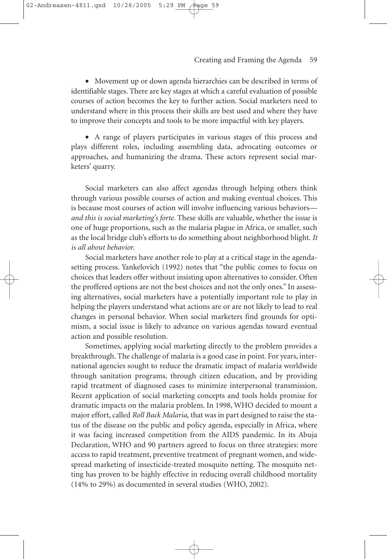• Movement up or down agenda hierarchies can be described in terms of identifiable stages. There are key stages at which a careful evaluation of possible courses of action becomes the key to further action. Social marketers need to understand where in this process their skills are best used and where they have to improve their concepts and tools to be more impactful with key players.

• A range of players participates in various stages of this process and plays different roles, including assembling data, advocating outcomes or approaches, and humanizing the drama. These actors represent social marketers' quarry.

Social marketers can also affect agendas through helping others think through various possible courses of action and making eventual choices. This is because most courses of action will involve influencing various behaviors *and this is social marketing's forte.* These skills are valuable, whether the issue is one of huge proportions, such as the malaria plague in Africa, or smaller, such as the local bridge club's efforts to do something about neighborhood blight. *It is all about behavior.*

Social marketers have another role to play at a critical stage in the agendasetting process. Yankelovich (1992) notes that "the public comes to focus on choices that leaders offer without insisting upon alternatives to consider. Often the proffered options are not the best choices and not the only ones." In assessing alternatives, social marketers have a potentially important role to play in helping the players understand what actions are or are not likely to lead to real changes in personal behavior. When social marketers find grounds for optimism, a social issue is likely to advance on various agendas toward eventual action and possible resolution.

Sometimes, applying social marketing directly to the problem provides a breakthrough. The challenge of malaria is a good case in point. For years, international agencies sought to reduce the dramatic impact of malaria worldwide through sanitation programs, through citizen education, and by providing rapid treatment of diagnosed cases to minimize interpersonal transmission. Recent application of social marketing concepts and tools holds promise for dramatic impacts on the malaria problem. In 1998, WHO decided to mount a major effort, called *Roll Back Malaria,* that was in part designed to raise the status of the disease on the public and policy agenda, especially in Africa, where it was facing increased competition from the AIDS pandemic. In its Abuja Declaration, WHO and 90 partners agreed to focus on three strategies: more access to rapid treatment, preventive treatment of pregnant women, and widespread marketing of insecticide-treated mosquito netting. The mosquito netting has proven to be highly effective in reducing overall childhood mortality (14% to 29%) as documented in several studies (WHO, 2002).